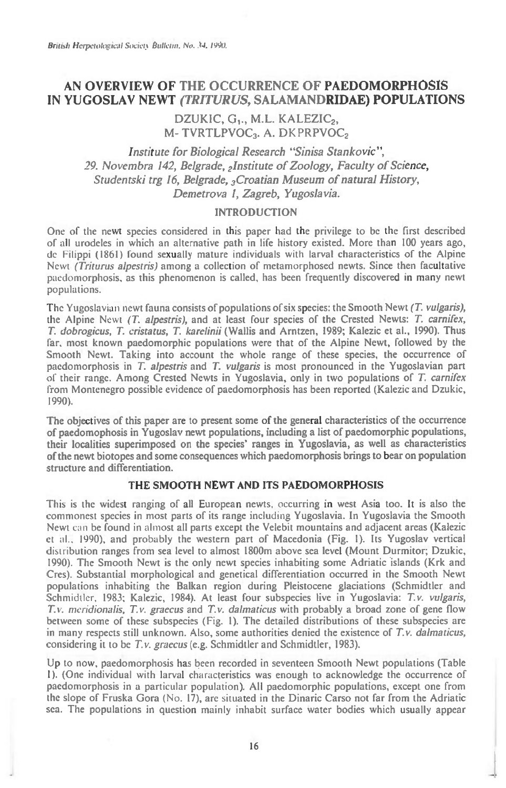# **AN OVERVIEW OF THE OCCURRENCE OF PAEDOMORPHOSIS IN YUGOSLAV NEWT** *(TRITUR US,* **SALAMANDRIDAE) POPULATIONS**

# DZUKIC, G<sub>1</sub>., M.L. KALEZIC<sub>2</sub>, **M- TVRTLPVOC3. A. DKPRPVOC2**

*Institute for Biological Research "Sinisa Stankovic", 29. Novembra 142, Belgrade, 2lnstitute of Zoology, Faculty of Science, Studentski trg 16, Belgrade, 3Croatian Museum of natural History, Demetrova 1, Zagreb, Yugoslavia.* 

### **INTRODUCTION**

One of the newt species considered in this paper had the privilege to be the first described of all urodeles in which an alternative path in life history existed. More than 100 years ago, de Filippi (1861) found sexually mature individuals with larval characteristics of the Alpine Newt *(Triturus alpestris)* among a collection of metamorphosed newts. Since then facultative paedomorphosis, as this phenomenon is called, has been frequently discovered in many newt populations.

The Yugoslavian newt fauna consists of populations of six species: the Smooth Newt *(T. vulgaris),*  the Alpine Newt *(T. alpestris),* and at least four species of the Crested Newts: *T. carnifex, T. dobrogicus, T. cristatus, T. karelinii* (Wallis and Arntzen, 1989; Kalezic et al., 1990). Thus far. most known paedomorphic populations were that of the Alpine Newt, followed by the Smooth Newt. Taking into account the whole range of these species, the occurrence of paedomorphosis in *T. alpestris* and *T. vulgaris is* most pronounced in the Yugoslavian part of their range. Among Crested Newts in Yugoslavia, only in two populations of *T. carnifex*  from Montenegro possible evidence of paedomorphosis has been reported (Kalezic and Dzukic, 1990).

The **objectives of this paper are to present some of the general characteristics of the occurrence of paedomophosis in Yugoslav newt populations, including a list of paedomorphic populations, their localities superimposed on the species' ranges in Yugoslavia, as well as characteristics of the newt biotopes and some consequences which paedomorphosis brings to bear on population structure and differentiation.** 

## **THE SMOOTH NEWT AND ITS PAEDOMORPHOSIS**

This is the widest ranging of all European newts, occurring in west Asia too. It is also the commonest species in most parts of its range including Yugoslavia. In Yugoslavia the Smooth Newt can be found in almost all parts except the Velebit mountains and adjacent areas (Kalezic et al., 1990), and probably the western part of Macedonia (Fig. I). Its Yugoslav vertical distribution ranges from sea level to almost 1800m above sea level (Mount Durmitor; Dzukic, 1990). The Smooth Newt is the only newt species inhabiting some Adriatic islands (Krk and Cres). Substantial morphological and genetical differentiation occurred in the Smooth Newt populations inhabiting the Balkan region during Pleistocene glaciations (Schmidtler and Schmidtler, 1983; Kalezic, 1984). At least four subspecies live in Yugoslavia: *T.v. vulgaris, T.v. meridionalis, T.v. graecus* and *T.v. dalmaticus* with probably a broad zone of gene flow between some of these subspecies (Fig. 1). The detailed distributions of these subspecies are in many respects still unknown. Also, some authorities denied the existence of *T.v. dalmaticus,*  **considering it to be** *T.v. graecus* (e.g. Schmidtler and Schmidtler, 1983).

Up to now, paedomorphosis has been recorded in seventeen Smooth Newt populations (Table I). (One individual with larval characteristics was enough to acknowledge the occurrence of paedomorphosis in a particular population). All paedomorphic populations, except one from the slope of Fruska Gora (No. 17), are situated in the Dinaric Carso not far from the Adriatic sea. The populations in question mainly inhabit surface water bodies which usually appear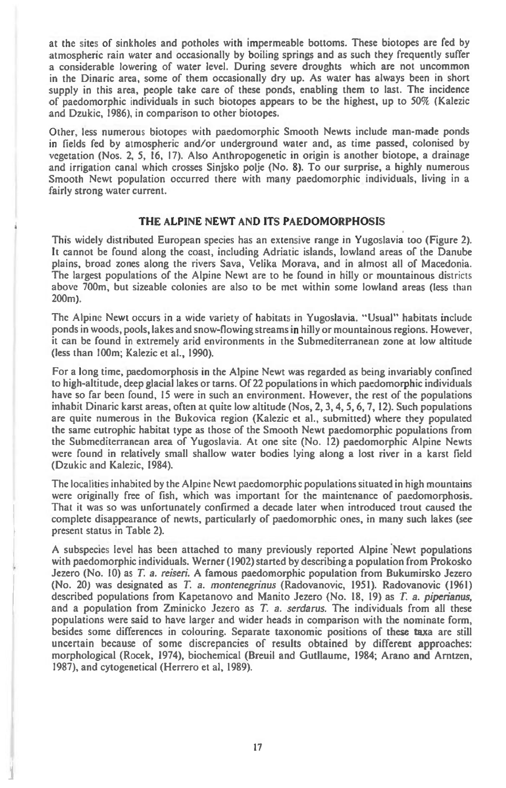at the sites of sinkholes and potholes with impermeable bottoms. These biotopes are fed by atmospheric rain water and occasionally by boiling springs and as such they frequently suffer a considerable lowering of water level. During severe droughts which are not uncommon in the Dinaric area, some of them occasionally dry up. As water has always been in short supply in this area, people take care of these ponds, enabling them to last. The incidence of paedomorphic individuals in such biotopes appears to be the highest, up to 50% (Kalezic and Dzukic, 1986), in comparison to other biotopes.

Other, less numerous biotopes with paedomorphic Smooth Newts include man-made ponds in fields fed by atmospheric and/or underground water and, as time passed, colonised by vegetation (Nos. 2, 5, 16, 17). Also Anthropogenetic in origin is another biotope, a drainage and irrigation canal which crosses Sinjsko polje (No. 8). To our surprise, a highly numerous Smooth Newt population occurred there with many paedomorphic individuals, living in a fairly strong water current.

#### **THE ALPINE NEWT AND ITS PAEDOMORPHOSIS**

This widely distributed European species has an extensive range in Yugoslavia too (Figure 2). It cannot be found along the coast, including Adriatic islands, lowland areas of the Danube plains, broad zones along the rivers Sava, Velika Morava, and in almost all of Macedonia. The largest populations of the Alpine Newt are to he found in hilly or mountainous districts above 700m, but sizeable colonies are also to be met within some lowland areas (less *than*  200m).

The Alpine Newt occurs in a wide variety of habitats in Yugoslavia. "Usual" habitats include ponds in woods, pools, lakes and snow-flowing streams in hilly or mountainous regions. However, it can be found in extremely arid environments in the Submediterranean zone at low altitude (less than 100m; Kalezic et al., 1990).

For a long time, paedomorphosis in the Alpine Newt was regarded as being invariably confined to high-altitude, deep glacial lakes or tarns. Of 22 populations in which paedomorphic individuals have so far been found, 15 were in such an environment. However, the rest of the populations inhabit Dinaric karst areas, often at quite low altitude (Nos, 2, 3, 4, 5, 6, 7, 12). Such populations are quite numerous in the Bukovica region (Kalezic et al., submitted) where they populated the same eutrophic habitat type as those of the Smooth Newt paedomorphic populations from the Submediterranean area of Yugoslavia. At one site (No. 12) paedomorphic Alpine Newts were found in relatively small shallow water bodies lying along a lost river in a karst field (Dzukic and Kalezic, 1984).

The localities inhabited by the Alpine Newt paedomorphic populations situated in high mountains were originally free of fish, which was important for the maintenance of paedomorphosis. That it was so was unfortunately confirmed a decade later when introduced trout caused the complete disappearance of newts, particularly of paedomorphic ones, in many such lakes (see present status in Table 2).

A subspecies level has been attached to many previously reported Alpine Newt populations with paedomorphic individuals. Werner (1902) started by describing a population from Prokosko Jezero (No. 10) as *T. a. reiseri.* A famous paedomorphic population from Bukumirsko Jezero (No. 20) was designated as *T.* a. *montenegrinus* (Radovanovic, 1951). Radovanovic (1961) described populations from Kapetanovo and Manito Jezero (No. 18, 19) as *T.* a. *piperianus,*  and a population from Zminicko Jezero as *T. a. serdarus.* The individuals from all these populations were said to have larger and wider heads in comparison with the nominate form, besides some differences in colouring. Separate taxonomic positions of these taxa are still uncertain because of some discrepancies of results obtained by different approaches: morphological (Rocek, 1974), biochemical (Breuil and Gutllaume, 1984; Arano **and** Arntzen, 1987), and cytogenetical (Herrero et al, 1989).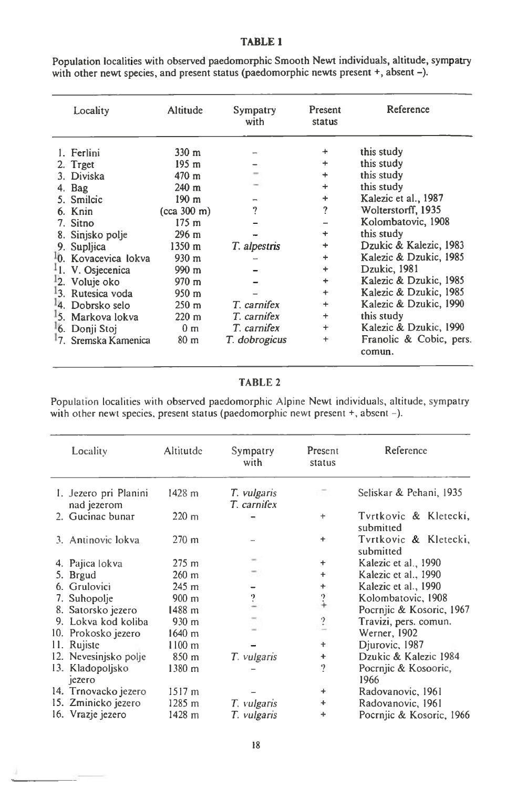## **TABLE 1**

| Locality                                                                                                                                                                                                                                                         | Altitude                                                                                                                                                                                                                                          | Sympatry<br>with                            | Present<br>status                                                                                                                  | Reference                                                                                                                                                                                                                                                                                |
|------------------------------------------------------------------------------------------------------------------------------------------------------------------------------------------------------------------------------------------------------------------|---------------------------------------------------------------------------------------------------------------------------------------------------------------------------------------------------------------------------------------------------|---------------------------------------------|------------------------------------------------------------------------------------------------------------------------------------|------------------------------------------------------------------------------------------------------------------------------------------------------------------------------------------------------------------------------------------------------------------------------------------|
| 1. Ferlini<br>2. Trget<br>3. Diviska<br>4. Bag<br>5. Smilcic<br>6. Knin<br>7. Sitno<br>8. Sinjsko polje<br>9. Supljica<br><sup>1</sup> 0. Kovacevica lokva<br><sup>1</sup> 1. V. Osjecenica<br>2. Voluje oko<br><sup>1</sup> 3. Rutesica voda<br>4. Dobrsko selo | $330 \text{ m}$<br>195 m<br>$470 \text{ m}$<br>$240 \text{ m}$<br>190 <sub>m</sub><br>(cca 300 m)<br>175 <sub>m</sub><br>$296 \text{ m}$<br>1350 m<br>$930 \text{ m}$<br>$990 \text{ m}$<br>$970 \text{ m}$<br>$950 \text{ m}$<br>$250 \text{ m}$ | 9<br>T. alpestris<br>T. carnifex            | $\ddot{}$<br>$\ddot{}$<br>$\ddot{}$<br>$\ddot{}$<br>$\ddot{\phantom{1}}$<br>?<br>÷<br>$\ddot{}$<br>┿<br>÷<br>÷<br>$+$<br>$\ddot{}$ | this study<br>this study<br>this study<br>this study<br>Kalezic et al., 1987<br>Wolterstorff, 1935<br>Kolombatovic, 1908<br>this study<br>Dzukic & Kalezic, 1983<br>Kalezic & Dzukic, 1985<br>Dzukic, 1981<br>Kalezic & Dzukic, 1985<br>Kalezic & Dzukic, 1985<br>Kalezic & Dzukic, 1990 |
| 5. Markova lokva<br>6. Donji Stoj<br>7. Sremska Kamenica                                                                                                                                                                                                         | $220 \text{ m}$<br>0 <sub>m</sub><br>80 <sub>m</sub>                                                                                                                                                                                              | T. carnifex<br>T. carnifex<br>T. dobrogicus | ÷<br>$\ddot{}$<br>$\ddot{}$                                                                                                        | this study<br>Kalezic & Dzukic, 1990<br>Franolic & Cobic, pers.<br>comun.                                                                                                                                                                                                                |

Population localities with observed paedomorphic Smooth Newt individuals, altitude, sympatry with other newt species, and present status (paedomorphic newts present +, absent -).

# TABLE 2

Population localities with observed paedomorphic Alpine Newt individuals, altitude, sympatry with other newt species, present status (paedomorphic newt present +, absent -).

| Locality                             | Altitutde            | Sympatry<br>with           | Present<br>status        | Reference                          |
|--------------------------------------|----------------------|----------------------------|--------------------------|------------------------------------|
| 1. Jezero pri Planini<br>nad jezerom | 1428 m               | T. vulgaris<br>T. carnifex |                          | Seliskar & Pehani, 1935            |
| 2. Gucinac bunar                     | $220 \text{ m}$      |                            | $\ddot{}$                | Tvrtkovic & Kletecki,<br>submitted |
| 3. Antinovic lokva                   | $270 \text{ m}$      |                            | ÷                        | Tvrtkovic & Kletecki,<br>submitted |
| 4. Pajica lokva                      | $275 \; \mathrm{m}$  |                            | $\ddot{}$                | Kalezic et al., 1990               |
| 5. Brgud                             | $260 \text{ m}$      |                            | $\ddot{}$                | Kalezic et al., 1990               |
| 6. Grulovici                         | $245 \; \mathrm{m}$  |                            | $\ddot{}$                | Kalezic et al., 1990               |
| 7. Suhopolje                         | 900 <sub>m</sub>     | ?                          | $2 +$                    | Kolombatovic, 1908                 |
| 8. Satorsko jezero                   | 1488 m               |                            |                          | Pocrnjic & Kosoric, 1967           |
| 9. Lokva kod koliba                  | 930 <sub>m</sub>     |                            | ?                        | Travizi, pers. comun.              |
| 10. Prokosko jezero                  | $1640 \; m$          |                            | $\overline{\phantom{a}}$ | Werner, 1902                       |
| 11. Rujiste                          | $1100 \; \mathrm{m}$ |                            | ÷                        | Djurovic, 1987                     |
| 12. Nevesinjsko polje                | 850 m                | T. vulgaris                | $\ddot{}$                | Dzukic & Kalezic 1984              |
| 13. Kladopoljsko<br>jezero           | 1380 m               |                            | ?                        | Pocrniic & Kosooric,<br>1966       |
| 14. Trnovacko jezero                 | $1517 \; m$          |                            | ÷                        | Radovanovic, 1961                  |
| 15. Zminicko jezero                  | 1285 m               | T. vulgaris                | $\ddot{}$                | Radovanovic, 1961                  |
| 16. Vrazje jezero                    | 1428 m               | T. vulgaris                | $\ddot{}$                | Pocrnjic & Kosoric, 1966           |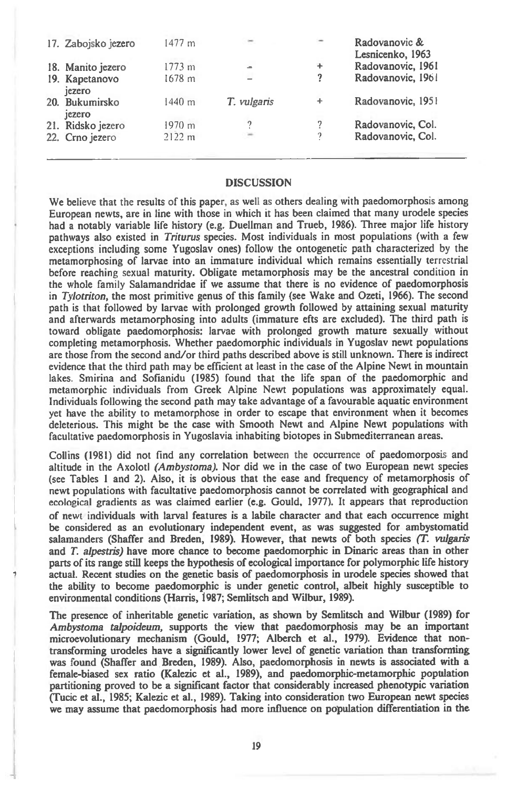| 17. Zabojsko jezero      | $1477 \; m$ | $\equiv$                 |           | Radovanovic &<br>Lesnicenko, 1963 |
|--------------------------|-------------|--------------------------|-----------|-----------------------------------|
| 18. Manito jezero        | 1773 m      | $\equiv$                 | $\ddot{}$ | Radovanovic, 1961                 |
| 19. Kapetanovo<br>iezero | 1678 m      | $\overline{\phantom{a}}$ | ?         | Radovanovic, 1961                 |
| 20. Bukumirsko<br>jezero | 1440 m      | T. vulgaris              | ÷         | Radovanovic, 1951                 |
| 21. Ridsko jezero        | $1970 \; m$ |                          | ?         | Radovanovic, Col.                 |
| 22. Crno jezero          | 2122 m      | $\sim$                   | ?         | Radovanovic, Col.                 |
|                          |             |                          |           |                                   |

#### **DISCUSSION**

We believe that the results of this paper, as well as others dealing with paedomorphosis among European newts, are in line with those in which it has been claimed that many urodele species had a notably variable life history (e.g. Duellman and Trueb, 1986). Three major life history pathways also existed in *Triturus* species. Most individuals in most populations (with a few exceptions including some Yugoslav ones) follow the ontogenetic path characterized by the metamorphosing of larvae into an immature individual which remains essentially terrestrial before reaching sexual maturity. Obligate metamorphosis may be the ancestral condition in the whole family Salamandridae if we assume that there is no evidence of paedomorphosis in *Tylotriton,* the most primitive genus of this family (see Wake and Ozeti, 1966). The second path is that followed by larvae with prolonged growth followed by attaining sexual maturity and afterwards metamorphosing into adults (immature efts are excluded). The third path is toward obligate paedomorphosis: larvae with prolonged growth mature sexually without completing metamorphosis. Whether paedomorphic individuals in Yugoslav newt populations are those from the second and/or third paths described above is still unknown. There is indirect evidence that the third path may be efficient at least in the case of the Alpine Newt in mountain lakes. Smirina and Sofianidu (1985) found that the life span of the paedomorphic and metamorphic individuals from Greek Alpine Newt populations was approximately equal. Individuals following the second path may take advantage of a favourable aquatic environment yet have the ability to metamorphose in order to escape that environment when it becomes deleterious. This might be the case with Smooth Newt and Alpine Newt populations with facultative paedomorphosis in Yugoslavia inhabiting biotopes in Submediterranean areas.

Collins (1981) did not find any correlation between the occurrence of paedomorposis and altitude in the Axolotl *(Ambystoma).* Nor did we in the case of two European newt species (see Tables 1 and 2). Also, it is obvious that the ease and frequency of metamorphosis of newt populations with facultative paedomorphosis cannot be correlated with geographical and ecological gradients as was claimed earlier (e.g. Gould, 1977). It appears that reproduction of newt individuals with larval features is a labile character and that each occurrence might be considered as an evolutionary independent event, as was suggested for ambystomatid salamanders (Shaffer and Breden, 1989). However, that newts of both species *(T. vulgaris*  and *T. alpestris)* have more chance to become paedomorphic in Dinaric areas than in other parts of its range still keeps the hypothesis of ecological importance for polymorphic life history actual. Recent studies on the genetic basis of paedomorphosis in urodele species showed that the ability to become paedomorphic is under genetic control, albeit highly susceptible to environmental conditions (Harris, 1987; Semlitsch and Wilbur, 1989).

The presence of inheritable genetic variation, as shown by Semlitsch and Wilbur (1989) for *Ambystoma talpoideum,* supports the view that paedomorphosis may be an important microevolutionary mechanism (Gould, 1977; Alberch et al., 1979). Evidence that nontransforming urodeles have a significantly lower level of genetic variation than transforming was found (Shaffer and Breden, 1989). Also, paedomorphosis in newts is associated with a female-biased sex ratio (Kalezic et al., 1989), and paedomorphic-metamorphic population partitioning proved to be a significant factor that considerably increased phenotypic variation (Tucic et al., 1985; Kalezic et al., 1989). Taking into consideration two European newt species we may assume that paedomorphosis had more influence on population differentiation in the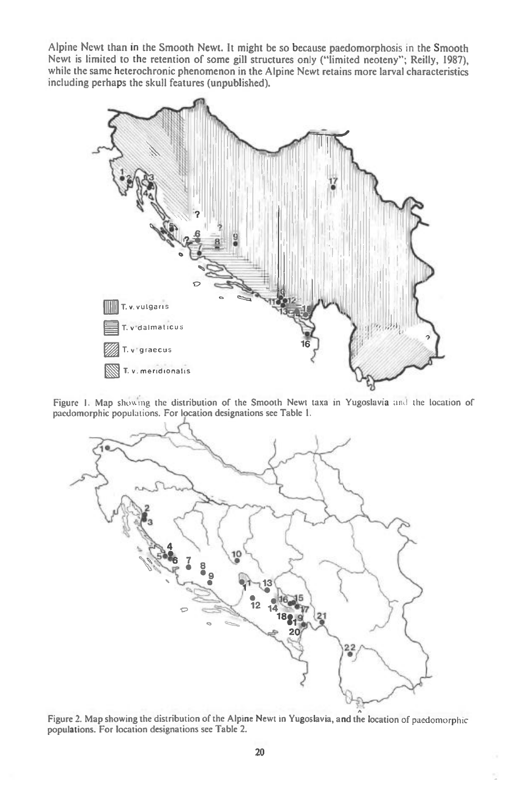**Alpine Newt than in the Smooth Newt. It might be so because paedomorphosis in the Smooth**  Newt is limited to the retention of some gill structures only ("limited neoteny"; Reilly, 1987), **while the same heterochronic phenomenon in the Alpine Newt retains more larval characteristics including perhaps the skull features (unpublished).** 



Figure 1. Map showing the distribution of the Smooth Newt taxa in Yugoslavia and the location of pacdomorphic populations. For location designations see Table I.



Figure 2. Map showing the distribution of the Alpine Newt in Yugoslavia, and the location of paedomorphic populations. For location designations see Table 2.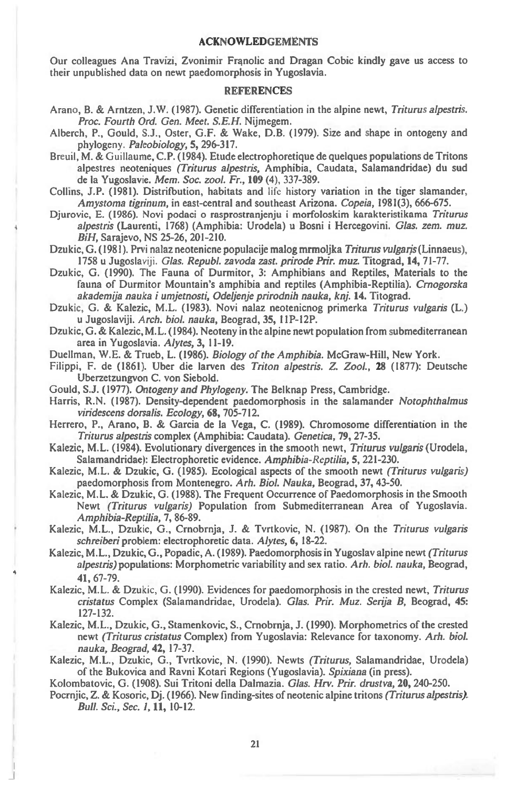#### **ACKNOWLEDGEMENTS**

Our colleagues Ana Travizi, Zvonimir Frantic and Dragan Cobic kindly gave us access to their unpublished data on newt paedomorphosis in Yugoslavia.

### **REFERENCES**

- Arano, B. & Arntzen, J.W. (1987). Genetic differentiation in the alpine newt, *Triturus alpestris. Proc. Fourth Ord. Gen. Meet. S.E.H.* Nijmegem.
- Alberch, P., Gould, S.J., Oster, G.F. & Wake, D.B. (1979). Size and shape in ontogeny and phylogeny. *Paleobiology,* **5,** 296-317.
- Breuil, M. & Guillaume, C.P. (1984). Etude electrophoretique de quelques populations de Tritons alpestres neoteniques *(Triturus alpestris,* Amphibia, Caudata, Salamandridae) du sud de la Yugoslavie. Mem. Soc. *zoo!. Fr.,* **109** (4), 337-389.
- Collins, J.P. (1981). Distrifbution, habitats and life history variation in the tiger slamander, *Amystoma tigrinum,* in east-central and southeast Arizona. *Copeia,* 1981(3), 666-675.
- Djurovic, E. (1986). Novi podaci o rasprostranjenju i morfoloskim karakteristikama *Triturus alpestris* (Laurenti, 1768) (Amphibia: Urodela) u Bosni i Hercegovini. *Glas. zem. muz. BiH,* Sarajevo, NS 25-26, 201-210.

Dzukic, G. (1981). Prvi nalaz neotenicne populacije malog mrmoljka *Triturus vulgaris* (Linnaeus), 1758 u Jugoslaviji. *Glas. Republ. zavoda zast. prirode Prir. muz.* Titograd, **14,** 71-77.

- Dzukic, G. (1990). The Fauna of Durmitor, 3: Amphibians and Reptiles, Materials to the fauna of Durmitor Mountain's amphibia and reptiles (Amphibia-Reptilia). *Crnogorska akademija nauka i umjetnosti, Odeljenje prirodnih nauka, knj.* **14.** Titograd.
- Dzukic, G. & Kalezic, M.L. (1983). Novi nalaz neotenicnog primerka *Triturus vulgaris* (L.) u Jugoslaviji. *Arch. biol. nauka,* Beograd, 35, 11P-12P.
- Dzukic, G. & Kalezic, M.L. (1984). Neoteny in the alpine newt population from submediterranean area in Yugoslavia. *Alytes,* **3,** 11-19.
- Duellman, W.E. & Trueb, L. (1986). *Biology of the Amphibia.* McGraw-Hill, New York.
- Filippi, F. de (1861). Uber die larven des *Triton alpestris. Z. Zool.,* **28** (1877): Deutsche Uberzetzungvon C. von Siebold.
- Gould, S.J. (1977). *Ontogeny and Phylogeny.* The Belknap Press, Cambridge.
- Harris, R.N. (1987). Density-dependent paedomorphosis in the salamander *Notophthalmus viridescens dorsalis. Ecology,* **68,** 705-712.
- Herrero, P., Arano, B. & Garcia de la Vega, C. (1989). Chromosome differentiation in the *Triturus alpestris* complex (Amphibia: Caudata). *Genetica,* **79,** 27-35.
- Kalezic, M.L. (1984). Evolutionary divergences in the smooth newt, *Triturus vulgaris* (Urodela, Salamandridae): Electrophoretic evidence. *Amphibia-Reptilia,* 5, 221-230.
- Kalezic, M.L. & Dzukic, G. (1985). Ecological aspects of the smooth newt *(Triturus vulgaris)*  paedomorphosis from Montenegro. *Arh. Biol. Nauka,* Beograd, 37, 43-50.
- Kalezic, M.L. & Dzukic, G. (1988). The Frequent Occurrence of Paedomorphosis in the Smooth Newt *(Triturus vulgaris)* Population from Submediterranean Area of Yugoslavia. *Amphibia-Reptilia,* 7, 86-89.
- Kalezic, M.L., Dzukic, G., Crnobrnja, J. & Tvrtkovic, N. (1987). On the *Triturus vulgans schreiberi* problem: electrophoretic data. *Alytes,* **6,** 18-22.
- Kalezic, M.L., Dzukic, G., Popadic, A. (1989). Paedomorphosis in Yugoslav alpine newt *(Triturus alpestris) populations:* Morphometric variability and sex ratio. *Arh. biol. nauka,* Beograd, **41,** 67-79.
- Kalezic, M.L. & Dzukic, G. (1990). Evidences for paedomorphosis in the crested newt, *Triturus cristatus* Complex (Salamandridae, Urodela). *Glas. Prir. Muz. Serija* B, Beograd, **45:**  127-132.
- Kalezic, M.L., Dzukic, G., Stamenkovic, S., Crnobrnja, J. (1990). Morphometrics of the crested newt *(Triturus cristatus* Complex) from Yugoslavia: Relevance for taxonomy. *Arh. biol. nauka, Beograd,* **42,** 17-37.
- Kalezic, M.L., Dzukic, G., Tvrtkovic, N. (1990). Newts *(Triturus,* Salamandridae, Urodela) of the Bukovica and Ravni Kotari Regions (Yugoslavia). *Spixiana* (in press).

Kolombatovic, G. (1908). Sui Tritoni della Dalmazia. *Glas. Hrv. Prir. drustva,* **20,** 240-250.

Pocrnjic, Z. & Kosoric, Dj. (1966). New finding-sites of neotenic alpine tritons *(Triturus alpestris).*  Bull. *Sci., Sec. 1,* **11,** 10-12.